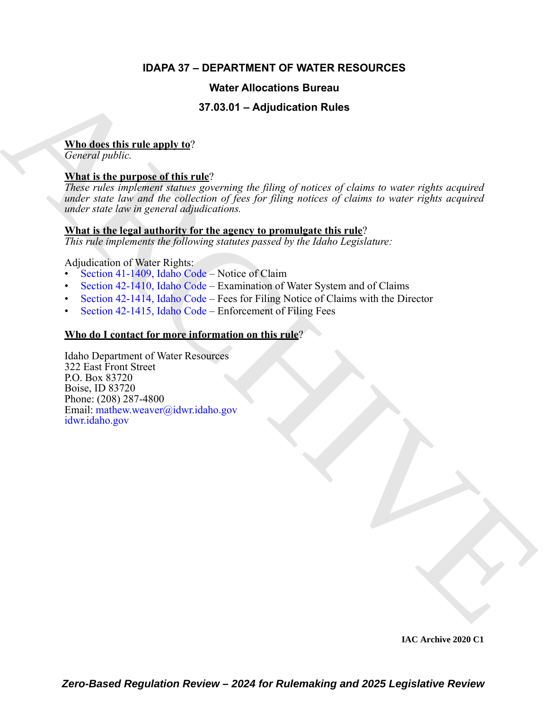# **IDAPA 37 – DEPARTMENT OF WATER RESOURCES**

# **Water Allocations Bureau**

# **37.03.01 – Adjudication Rules**

# **Who does this rule apply to**?

*General public.*

# **What is the purpose of this rule**?

**State of the main of the state of the state of the state of the state of the state of the state of the particle of the state of the state of the state of the state of the state of the state of the state of the state of t** *These rules implement statues governing the filing of notices of claims to water rights acquired under state law and the collection of fees for filing notices of claims to water rights acquired under state law in general adjudications.*

### **What is the legal authority for the agency to promulgate this rule**?

*This rule implements the following statutes passed by the Idaho Legislature:*

Adjudication of Water Rights:

- Section 41-1409, Idaho Code Notice of Claim
- Section 42-1410, Idaho Code Examination of Water System and of Claims
- Section 42-1414, Idaho Code Fees for Filing Notice of Claims with the Director
- Section 42-1415, Idaho Code Enforcement of Filing Fees

# **Who do I contact for more information on this rule**?

Idaho Department of Water Resources 322 East Front Street P.O. Box 83720 Boise, ID 83720 Phone: (208) 287-4800 Email: mathew.weaver@idwr.idaho.gov idwr.idaho.gov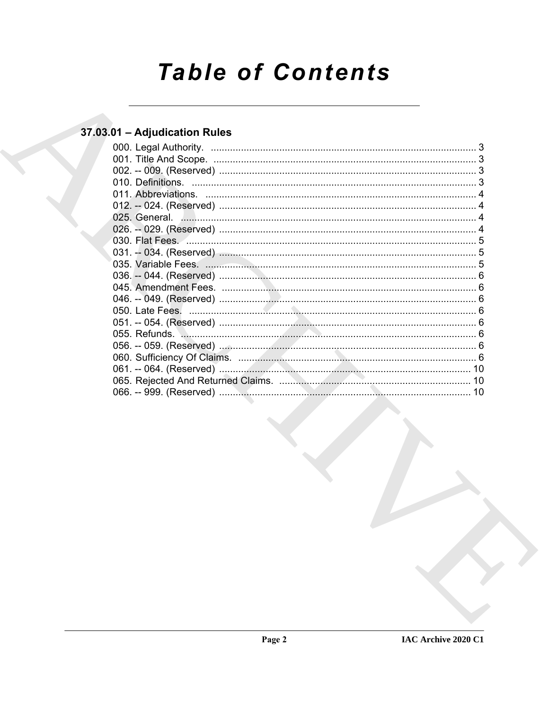# **Table of Contents**

# 37.03.01 - Adjudication Rules

| 000. Legal Authority.<br>$\begin{minipage}{0.5\textwidth} \begin{tabular}{ c c c c c } \hline \multicolumn{1}{ c }{0.5\textwidth} \begin{tabular}{ c c c } \hline \multicolumn{1}{ c }{0.5\textwidth} \begin{tabular}{ c c c } \hline \multicolumn{1}{ c }{0.5\textwidth} \begin{tabular}{ c c c } \hline \multicolumn{1}{ c }{0.5\textwidth} \begin{tabular}{ c c c } \hline \multicolumn{1}{ c }{0.5\textwidth} \begin{tabular}{ c c c } \hline \multicolumn{1}{ c $ |  |
|------------------------------------------------------------------------------------------------------------------------------------------------------------------------------------------------------------------------------------------------------------------------------------------------------------------------------------------------------------------------------------------------------------------------------------------------------------------------|--|
|                                                                                                                                                                                                                                                                                                                                                                                                                                                                        |  |
|                                                                                                                                                                                                                                                                                                                                                                                                                                                                        |  |
|                                                                                                                                                                                                                                                                                                                                                                                                                                                                        |  |
|                                                                                                                                                                                                                                                                                                                                                                                                                                                                        |  |
|                                                                                                                                                                                                                                                                                                                                                                                                                                                                        |  |
|                                                                                                                                                                                                                                                                                                                                                                                                                                                                        |  |
|                                                                                                                                                                                                                                                                                                                                                                                                                                                                        |  |
|                                                                                                                                                                                                                                                                                                                                                                                                                                                                        |  |
|                                                                                                                                                                                                                                                                                                                                                                                                                                                                        |  |
|                                                                                                                                                                                                                                                                                                                                                                                                                                                                        |  |
|                                                                                                                                                                                                                                                                                                                                                                                                                                                                        |  |
|                                                                                                                                                                                                                                                                                                                                                                                                                                                                        |  |
|                                                                                                                                                                                                                                                                                                                                                                                                                                                                        |  |
|                                                                                                                                                                                                                                                                                                                                                                                                                                                                        |  |
|                                                                                                                                                                                                                                                                                                                                                                                                                                                                        |  |
|                                                                                                                                                                                                                                                                                                                                                                                                                                                                        |  |
|                                                                                                                                                                                                                                                                                                                                                                                                                                                                        |  |
|                                                                                                                                                                                                                                                                                                                                                                                                                                                                        |  |
|                                                                                                                                                                                                                                                                                                                                                                                                                                                                        |  |
|                                                                                                                                                                                                                                                                                                                                                                                                                                                                        |  |
|                                                                                                                                                                                                                                                                                                                                                                                                                                                                        |  |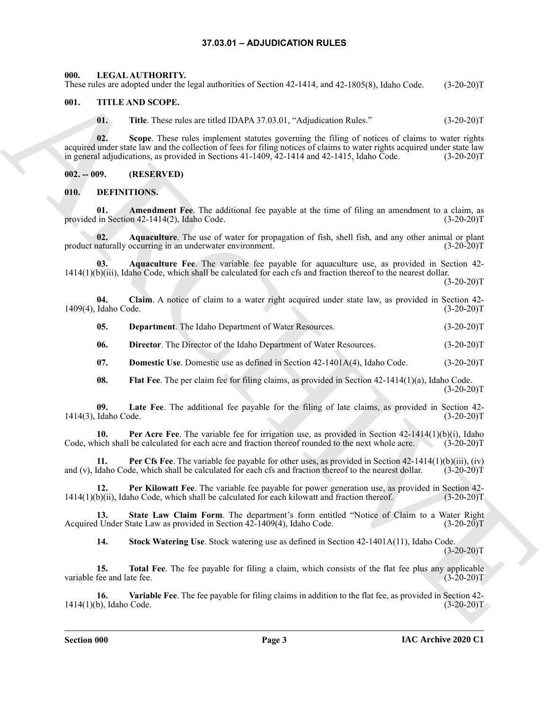#### **37.03.01 – ADJUDICATION RULES**

<span id="page-2-22"></span><span id="page-2-1"></span><span id="page-2-0"></span>**000. LEGAL AUTHORITY.**

#### These rules are adopted under the legal authorities of Section 42-1414, and 42-1805(8), Idaho Code. (3-20-20)T

#### <span id="page-2-2"></span>**001. TITLE AND SCOPE.**

<span id="page-2-23"></span>**01.** Title. These rules are titled IDAPA 37.03.01, "Adjudication Rules." (3-20-20)T

Thus, Andre subspirate the logaritosis of Society 42-414 and 42-18028), John Cock (62-42-2017)<br>
01. The Archives where refers the Archives Cock (62-42-2017)<br>
(a) The Archives where refers the subspace of the Society Colum **02. Scope**. These rules implement statutes governing the filing of notices of claims to water rights acquired under state law and the collection of fees for filing notices of claims to water rights acquired under state law<br>in general adjudications, as provided in Sections 41-1409, 42-1414 and 42-1415, Idaho Code. (3-20-20 in general adjudications, as provided in Sections  $41-1409$ ,  $42-1414$  and  $42-1415$ , Idaho Code.

<span id="page-2-3"></span>**002. -- 009. (RESERVED)**

<span id="page-2-5"></span><span id="page-2-4"></span>**010. DEFINITIONS.**

<span id="page-2-6"></span>**01.** Amendment Fee. The additional fee payable at the time of filing an amendment to a claim, as in Section 42-1414(2). Idaho Code. (3-20-20) provided in Section  $42-1414(2)$ , Idaho Code.

<span id="page-2-7"></span>**02.** Aquaculture. The use of water for propagation of fish, shell fish, and any other animal or plant naturally occurring in an underwater environment. (3-20-20)<sup>T</sup> product naturally occurring in an underwater environment.

<span id="page-2-8"></span>**03. Aquaculture Fee**. The variable fee payable for aquaculture use, as provided in Section 42- 1414(1)(b)(iii), Idaho Code, which shall be calculated for each cfs and fraction thereof to the nearest dollar.

 $(3-20-20)T$ 

**04. Claim**. A notice of claim to a water right acquired under state law, as provided in Section 42- 1409(4), Idaho Code. (3-20-20)T

<span id="page-2-10"></span><span id="page-2-9"></span>**05. Department**. The Idaho Department of Water Resources. (3-20-20)T

<span id="page-2-11"></span>**06. Director**. The Director of the Idaho Department of Water Resources. (3-20-20)T

<span id="page-2-12"></span>**07. Domestic Use**. Domestic use as defined in Section 42-1401A(4), Idaho Code. (3-20-20)T

<span id="page-2-15"></span><span id="page-2-14"></span><span id="page-2-13"></span>**08.** Flat Fee. The per claim fee for filing claims, as provided in Section 42-1414(1)(a), Idaho Code.  $(3-20-20)T$ 

**09. Late Fee**. The additional fee payable for the filing of late claims, as provided in Section 42- 1414(3), Idaho Code. (3-20-20)T

**10. Per Acre Fee**. The variable fee for irrigation use, as provided in Section 42-1414(1)(b)(i), Idaho Code, which shall be calculated for each acre and fraction thereof rounded to the next whole acre. (3-20-20)T

<span id="page-2-16"></span>**11. Per Cfs Fee**. The variable fee payable for other uses, as provided in Section 42-1414(1)(b)(iii), (iv) and (v), Idaho Code, which shall be calculated for each cfs and fraction thereof to the nearest dollar. (3-20-20)T

<span id="page-2-17"></span>**12. Per Kilowatt Fee**. The variable fee payable for power generation use, as provided in Section 42- 1414(1)(b)(ii), Idaho Code, which shall be calculated for each kilowatt and fraction thereof. (3-20-20)T

**13. State Law Claim Form**. The department's form entitled "Notice of Claim to a Water Right Acquired Under State Law as provided in Section 42-1409(4), Idaho Code. (3-20-20)T

<span id="page-2-21"></span><span id="page-2-20"></span><span id="page-2-19"></span><span id="page-2-18"></span>**14. Stock Watering Use**. Stock watering use as defined in Section 42-1401A(11), Idaho Code.  $(3-20-20)T$ 

**15. Total Fee**. The fee payable for filing a claim, which consists of the flat fee plus any applicable variable fee and late fee. (3-20-20)T

**16. Variable Fee**. The fee payable for filing claims in addition to the flat fee, as provided in Section 42- 1414(1)(b), Idaho Code. (3-20-20)T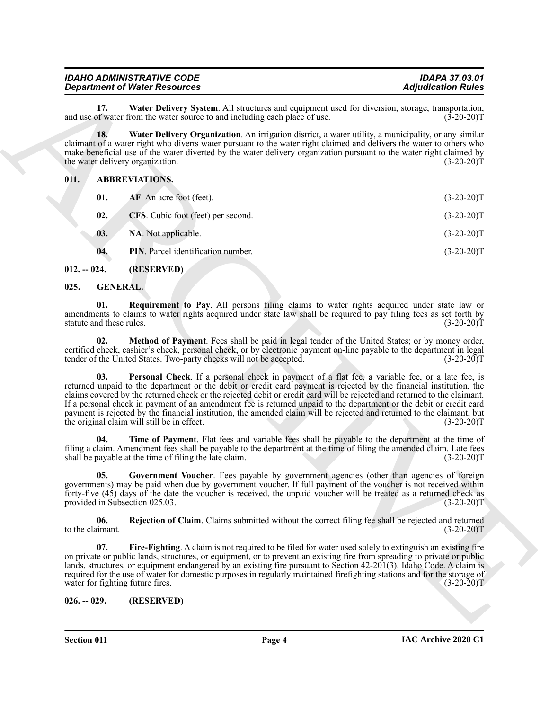#### <span id="page-3-5"></span><span id="page-3-4"></span><span id="page-3-0"></span>**011. ABBREVIATIONS.**

|                                         | <b>Department of Water Resources</b>                                                                                                                                                                                                                                                                                                                                                                                                                                                                                                                                                                                                               | <b>Adjudication Rules</b> |
|-----------------------------------------|----------------------------------------------------------------------------------------------------------------------------------------------------------------------------------------------------------------------------------------------------------------------------------------------------------------------------------------------------------------------------------------------------------------------------------------------------------------------------------------------------------------------------------------------------------------------------------------------------------------------------------------------------|---------------------------|
| 17.                                     | Water Delivery System. All structures and equipment used for diversion, storage, transportation,<br>and use of water from the water source to and including each place of use.                                                                                                                                                                                                                                                                                                                                                                                                                                                                     | $(3-20-20)T$              |
| 18.<br>the water delivery organization. | Water Delivery Organization. An irrigation district, a water utility, a municipality, or any similar<br>claimant of a water right who diverts water pursuant to the water right claimed and delivers the water to others who<br>make beneficial use of the water diverted by the water delivery organization pursuant to the water right claimed by                                                                                                                                                                                                                                                                                                | $(3-20-20)T$              |
| 011.                                    | <b>ABBREVIATIONS.</b>                                                                                                                                                                                                                                                                                                                                                                                                                                                                                                                                                                                                                              |                           |
| 01.                                     | AF. An acre foot (feet).                                                                                                                                                                                                                                                                                                                                                                                                                                                                                                                                                                                                                           | $(3-20-20)T$              |
| 02.                                     | CFS. Cubic foot (feet) per second.                                                                                                                                                                                                                                                                                                                                                                                                                                                                                                                                                                                                                 | $(3-20-20)T$              |
| 03.                                     | NA. Not applicable.                                                                                                                                                                                                                                                                                                                                                                                                                                                                                                                                                                                                                                | $(3-20-20)T$              |
| 04.                                     | <b>PIN</b> . Parcel identification number.                                                                                                                                                                                                                                                                                                                                                                                                                                                                                                                                                                                                         | $(3-20-20)T$              |
| $012. - 024.$                           | (RESERVED)                                                                                                                                                                                                                                                                                                                                                                                                                                                                                                                                                                                                                                         |                           |
| <b>GENERAL.</b><br>025.                 |                                                                                                                                                                                                                                                                                                                                                                                                                                                                                                                                                                                                                                                    |                           |
| 01.<br>statute and these rules.         | Requirement to Pay. All persons filing claims to water rights acquired under state law or<br>amendments to claims to water rights acquired under state law shall be required to pay filing fees as set forth by                                                                                                                                                                                                                                                                                                                                                                                                                                    | $(3-20-20)T$              |
| 02.                                     | Method of Payment. Fees shall be paid in legal tender of the United States; or by money order,<br>certified check, cashier's check, personal check, or by electronic payment on-line payable to the department in legal<br>tender of the United States. Two-party checks will not be accepted.                                                                                                                                                                                                                                                                                                                                                     | $(3-20-20)T$              |
| 03.                                     | Personal Check. If a personal check in payment of a flat fee, a variable fee, or a late fee, is<br>returned unpaid to the department or the debit or credit card payment is rejected by the financial institution, the<br>claims covered by the returned check or the rejected debit or credit card will be rejected and returned to the claimant.<br>If a personal check in payment of an amendment fee is returned unpaid to the department or the debit or credit card<br>payment is rejected by the financial institution, the amended claim will be rejected and returned to the claimant, but<br>the original claim will still be in effect. | $(3-20-20)T$              |
| 04.                                     | Time of Payment. Flat fees and variable fees shall be payable to the department at the time of<br>filing a claim. Amendment fees shall be payable to the department at the time of filing the amended claim. Late fees<br>shall be payable at the time of filing the late claim.                                                                                                                                                                                                                                                                                                                                                                   | $(3-20-20)T$              |
| 05.<br>provided in Subsection 025.03.   | Government Voucher. Fees payable by government agencies (other than agencies of foreign<br>governments) may be paid when due by government voucher. If full payment of the voucher is not received within<br>forty-five (45) days of the date the voucher is received, the unpaid voucher will be treated as a returned check as                                                                                                                                                                                                                                                                                                                   | $(3-20-20)T$              |
| 06.<br>to the claimant.                 | Rejection of Claim. Claims submitted without the correct filing fee shall be rejected and returned                                                                                                                                                                                                                                                                                                                                                                                                                                                                                                                                                 | $(3-20-20)T$              |
| 07.                                     | Fire-Fighting. A claim is not required to be filed for water used solely to extinguish an existing fire<br>on private or public lands, structures, or equipment, or to prevent an existing fire from spreading to private or public<br>lands, structures, or equipment endangered by an existing fire pursuant to Section 42-201(3), Idaho Code. A claim is<br>required for the use of water for domestic purposes in regularly maintained firefighting stations and for the storage of                                                                                                                                                            |                           |
| water for fighting future fires.        |                                                                                                                                                                                                                                                                                                                                                                                                                                                                                                                                                                                                                                                    | $(3-20-20)T$              |

#### <span id="page-3-13"></span><span id="page-3-12"></span><span id="page-3-11"></span><span id="page-3-10"></span><span id="page-3-9"></span><span id="page-3-8"></span><span id="page-3-7"></span><span id="page-3-6"></span><span id="page-3-3"></span><span id="page-3-2"></span><span id="page-3-1"></span>**025. GENERAL.**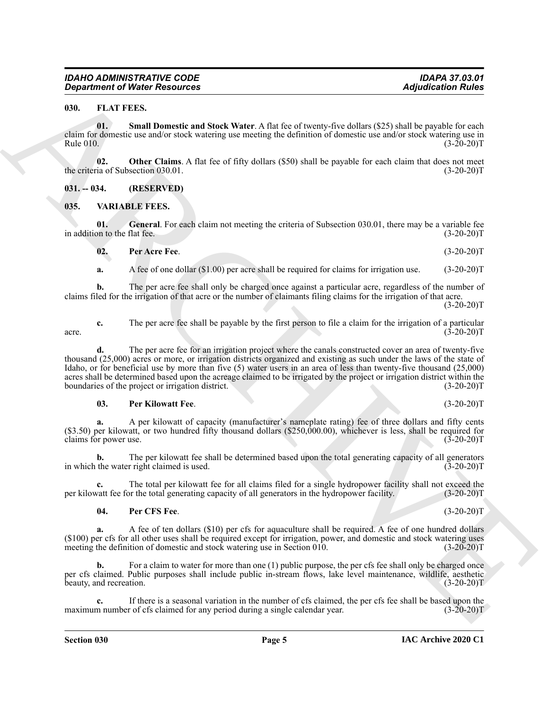<span id="page-4-5"></span><span id="page-4-3"></span><span id="page-4-0"></span>**01. Small Domestic and Stock Water**. A flat fee of twenty-five dollars (\$25) shall be payable for each claim for domestic use and/or stock watering use meeting the definition of domestic use and/or stock watering use in Rule 010.  $(3-20-20)T$ 

<span id="page-4-4"></span>**02. Other Claims**. A flat fee of fifty dollars (\$50) shall be payable for each claim that does not meet is of Subsection 030.01. (3-20-20) the criteria of Subsection 030.01.

<span id="page-4-1"></span>**031. -- 034. (RESERVED)**

#### <span id="page-4-6"></span><span id="page-4-2"></span>**035. VARIABLE FEES.**

**01. General**. For each claim not meeting the criteria of Subsection 030.01, there may be a variable fee in addition to the flat fee. (3-20-20)T

<span id="page-4-8"></span><span id="page-4-7"></span>**02. Per Acre Fee**. (3-20-20)T

**a.** A fee of one dollar (\$1.00) per acre shall be required for claims for irrigation use. (3-20-20)T

**b.** The per acre fee shall only be charged once against a particular acre, regardless of the number of claims filed for the irrigation of that acre or the number of claimants filing claims for the irrigation of that acre.  $(3-20-20)T$ 

**c.** The per acre fee shall be payable by the first person to file a claim for the irrigation of a particular (3-20-20) acre.  $(3-20-20)T$ 

**Equivariant of Water Resources Adjusted Entity Constitute Controller (Associated Adjusted Entity Constitute Constitute Constitute Constitute Constitute Constitute Constitute Constitute Constitute Constitute Constitute d.** The per acre fee for an irrigation project where the canals constructed cover an area of twenty-five thousand (25,000) acres or more, or irrigation districts organized and existing as such under the laws of the state of Idaho, or for beneficial use by more than five (5) water users in an area of less than twenty-five thousand (25,000) acres shall be determined based upon the acreage claimed to be irrigated by the project or irrigation district within the boundaries of the project or irrigation district. (3-20-20) boundaries of the project or irrigation district.

#### <span id="page-4-10"></span>**03. Per Kilowatt Fee**. (3-20-20)T

**a.** A per kilowatt of capacity (manufacturer's nameplate rating) fee of three dollars and fifty cents (\$3.50) per kilowatt, or two hundred fifty thousand dollars (\$250,000.00), whichever is less, shall be required for claims for power use. (3-20-20)T

**b.** The per kilowatt fee shall be determined based upon the total generating capacity of all generators the water right claimed is used. (3-20-20) in which the water right claimed is used.

The total per kilowatt fee for all claims filed for a single hydropower facility shall not exceed the or the total generating capacity of all generators in the hydropower facility. (3-20-20)<sup>T</sup> per kilowatt fee for the total generating capacity of all generators in the hydropower facility.

#### <span id="page-4-9"></span>**04. Per CFS Fee**. (3-20-20)T

**a.** A fee of ten dollars (\$10) per cfs for aquaculture shall be required. A fee of one hundred dollars  $(100)$  per cfs for all other uses shall be required except for irrigation, power, and domestic and stock watering uses meeting the definition of domestic and stock watering use in Section 010.  $(3-20-20)$ meeting the definition of domestic and stock watering use in Section  $\overline{010}$ .

For a claim to water for more than one (1) public purpose, the per cfs fee shall only be charged once per cfs claimed. Public purposes shall include public in-stream flows, lake level maintenance, wildlife, aesthetic beauty, and recreation. (3-20-20)T

**c.** If there is a seasonal variation in the number of cfs claimed, the per cfs fee shall be based upon the maximum number of cfs claimed for any period during a single calendar year. (3-20-20)T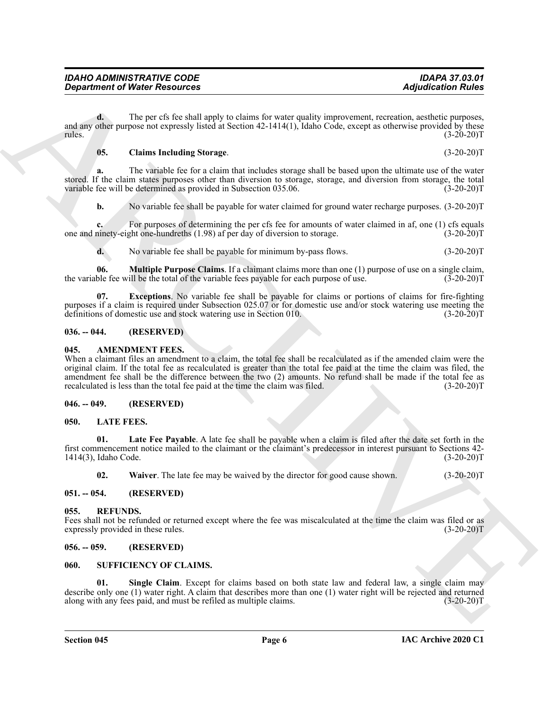**d.** The per cfs fee shall apply to claims for water quality improvement, recreation, aesthetic purposes, and any other purpose not expressly listed at Section 42-1414(1), Idaho Code, except as otherwise provided by these<br>(3-20-20)  $r_{\text{rules}}$  (3-20-20)T

#### <span id="page-5-15"></span>**05. Claims Including Storage**. (3-20-20)T

**a.** The variable fee for a claim that includes storage shall be based upon the ultimate use of the water stored. If the claim states purposes other than diversion to storage, storage, and diversion from storage, the total variable fee will be determined as provided in Subsection 035.06. (3-20-20) (3-20-20) T

**b.** No variable fee shall be payable for water claimed for ground water recharge purposes.  $(3-20-20)T$ 

**c.** For purposes of determining the per cfs fee for amounts of water claimed in af, one (1) cfs equals ninety-eight one-hundreths (1.98) af per day of diversion to storage. (3-20-20)T one and ninety-eight one-hundreths  $(1.98)$  af per day of diversion to storage.

<span id="page-5-17"></span><span id="page-5-16"></span>**d.** No variable fee shall be payable for minimum by-pass flows. (3-20-20)T

**06. Multiple Purpose Claims**. If a claimant claims more than one (1) purpose of use on a single claim, ble fee will be the total of the variable fees pavable for each purpose of use. (3-20-20) the variable fee will be the total of the variable fees payable for each purpose of use.

**07. Exceptions**. No variable fee shall be payable for claims or portions of claims for fire-fighting purposes if a claim is required under Subsection 025.07 or for domestic use and/or stock watering use meeting the definitions of domestic use and stock watering use in Section 010. (3-20-20)T

#### <span id="page-5-0"></span>**036. -- 044. (RESERVED)**

#### <span id="page-5-8"></span><span id="page-5-1"></span>**045. AMENDMENT FEES.**

**Constrained of Nicity Resolution**<br>  $\frac{d\phi}{dx} = \frac{d\phi}{dx}$  The per to the initial angle to chain for same pairs) intervention, a spin-of-constraint angle ship is the same pairs of the same pairs of the same pairs of the sa When a claimant files an amendment to a claim, the total fee shall be recalculated as if the amended claim were the original claim. If the total fee as recalculated is greater than the total fee paid at the time the claim was filed, the amendment fee shall be the difference between the two (2) amounts. No refund shall be made if the total fee as recalculated is less than the total fee paid at the time the claim was filed. (3-20-20)T

#### <span id="page-5-2"></span>**046. -- 049. (RESERVED)**

#### <span id="page-5-9"></span><span id="page-5-3"></span>**050. LATE FEES.**

**01. Late Fee Payable**. A late fee shall be payable when a claim is filed after the date set forth in the first commencement notice mailed to the claimant or the claimant's predecessor in interest pursuant to Sections 42- 1414(3), Idaho Code.

<span id="page-5-12"></span><span id="page-5-11"></span><span id="page-5-10"></span>**02. Waiver**. The late fee may be waived by the director for good cause shown. (3-20-20)T

#### <span id="page-5-4"></span>**051. -- 054. (RESERVED)**

#### <span id="page-5-5"></span>**055. REFUNDS.**

Fees shall not be refunded or returned except where the fee was miscalculated at the time the claim was filed or as expressly provided in these rules. (3-20-20)T

<span id="page-5-6"></span>**056. -- 059. (RESERVED)**

#### <span id="page-5-13"></span><span id="page-5-7"></span>**060. SUFFICIENCY OF CLAIMS.**

<span id="page-5-14"></span>**01. Single Claim**. Except for claims based on both state law and federal law, a single claim may describe only one (1) water right. A claim that describes more than one (1) water right will be rejected and returned<br>along with any fees paid, and must be refiled as multiple claims. (3-20-20) along with any fees paid, and must be refiled as multiple claims.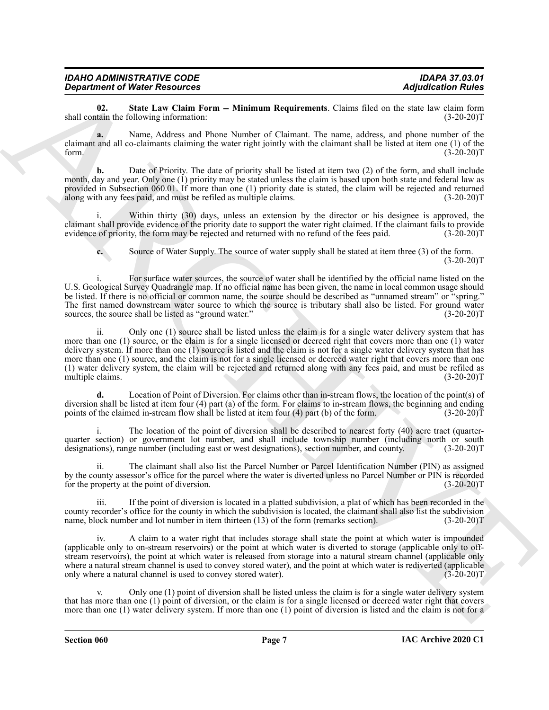| <b>IDAHO ADMINISTRATIVE CODE</b>     |  |
|--------------------------------------|--|
| <b>Department of Water Resources</b> |  |

<span id="page-6-0"></span>**02.** State Law Claim Form -- Minimum Requirements. Claims filed on the state law claim form tain the following information: (3-20-20) shall contain the following information:

**a.** Name, Address and Phone Number of Claimant. The name, address, and phone number of the claimant and all co-claimants claiming the water right jointly with the claimant shall be listed at item one (1) of the form.  $(3-20-20)T$ 

**b.** Date of Priority. The date of priority shall be listed at item two (2) of the form, and shall include month, day and year. Only one (1) priority may be stated unless the claim is based upon both state and federal law as provided in Subsection 060.01. If more than one (1) priority date is stated, the claim will be rejected and returned along with any fees paid, and must be refiled as multiple claims. (3-20-20) along with any fees paid, and must be refiled as multiple claims.

i. Within thirty (30) days, unless an extension by the director or his designee is approved, the claimant shall provide evidence of the priority date to support the water right claimed. If the claimant fails to provide evidence of priority, the form may be rejected and returned with no refund of the fees paid. (3-20-20)T

**c.** Source of Water Supply. The source of water supply shall be stated at item three (3) of the form.  $(3-20-20)T$ 

i. For surface water sources, the source of water shall be identified by the official name listed on the U.S. Geological Survey Quadrangle map. If no official name has been given, the name in local common usage should be listed. If there is no official or common name, the source should be described as "unnamed stream" or "spring." The first named downstream water source to which the source is tributary shall also be listed. For ground water sources, the source shall be listed as "ground water." (3-20-20)T

**Equire of Weine Resources on This may be consistent to the control of the state of the state of the control of the state of the state of the state of the state of the state of the state of the state of the state of the s** ii. Only one (1) source shall be listed unless the claim is for a single water delivery system that has more than one (1) source, or the claim is for a single licensed or decreed right that covers more than one (1) water delivery system. If more than one (1) source is listed and the claim is not for a single water delivery system that has more than one (1) source, and the claim is not for a single licensed or decreed water right that covers more than one (1) water delivery system, the claim will be rejected and returned along with any fees paid, and must be refiled as multiple claims.

**d.** Location of Point of Diversion. For claims other than in-stream flows, the location of the point(s) of diversion shall be listed at item four (4) part (a) of the form. For claims to in-stream flows, the beginning and ending points of the claimed in-stream flow shall be listed at item four (4) part (b) of the form. (3-20-20) points of the claimed in-stream flow shall be listed at item four  $(4)$  part  $(b)$  of the form.

i. The location of the point of diversion shall be described to nearest forty (40) acre tract (quarterquarter section) or government lot number, and shall include township number (including north or south designations), range number (including east or west designations), section number, and county. (3-20-20)T

ii. The claimant shall also list the Parcel Number or Parcel Identification Number (PIN) as assigned by the county assessor's office for the parcel where the water is diverted unless no Parcel Number or PIN is recorded for the property at the point of diversion. (3-20-20)T

iii. If the point of diversion is located in a platted subdivision, a plat of which has been recorded in the county recorder's office for the county in which the subdivision is located, the claimant shall also list the subdivision name, block number and lot number in item thirteen (13) of the form (remarks section). (3-20-20)T

iv. A claim to a water right that includes storage shall state the point at which water is impounded (applicable only to on-stream reservoirs) or the point at which water is diverted to storage (applicable only to offstream reservoirs), the point at which water is released from storage into a natural stream channel (applicable only where a natural stream channel is used to convey stored water), and the point at which water is rediverted (applicable only where a natural channel is used to convey stored water). (3-20-20)T

v. Only one (1) point of diversion shall be listed unless the claim is for a single water delivery system that has more than one (1) point of diversion, or the claim is for a single licensed or decreed water right that covers more than one (1) water delivery system. If more than one (1) point of diversion is listed and the claim is not for a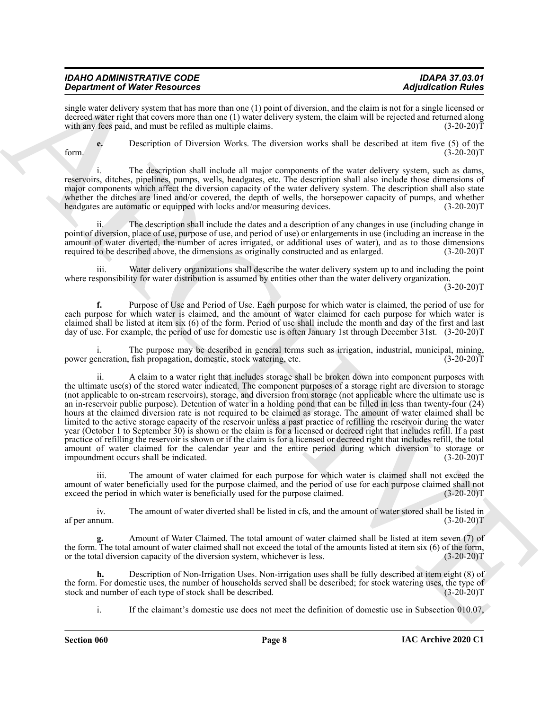| <b>IDAHO ADMINISTRATIVE CODE</b>     | <b>IDAPA 37.03.01</b>     |
|--------------------------------------|---------------------------|
| <b>Department of Water Resources</b> | <b>Adjudication Rules</b> |

single water delivery system that has more than one (1) point of diversion, and the claim is not for a single licensed or decreed water right that covers more than one (1) water delivery system, the claim will be rejected and returned along with any fees paid, and must be refiled as multiple claims. (3-20-20)T

**e.** Description of Diversion Works. The diversion works shall be described at item five (5) of the form.  $(3-20-20)T$ 

i. The description shall include all major components of the water delivery system, such as dams, reservoirs, ditches, pipelines, pumps, wells, headgates, etc. The description shall also include those dimensions of major components which affect the diversion capacity of the water delivery system. The description shall also state whether the ditches are lined and/or covered, the depth of wells, the horsepower capacity of pumps, and whether headgates are automatic or equipped with locks and/or measuring devices. (3-20-20)T

The description shall include the dates and a description of any changes in use (including change in point of diversion, place of use, purpose of use, and period of use) or enlargements in use (including an increase in the amount of water diverted, the number of acres irrigated, or additional uses of water), and as to those dimensions required to be described above, the dimensions as originally constructed and as enlarged. (3-20-20)T required to be described above, the dimensions as originally constructed and as enlarged.

iii. Water delivery organizations shall describe the water delivery system up to and including the point where responsibility for water distribution is assumed by entities other than the water delivery organization.

 $(3-20-20)T$ 

**f.** Purpose of Use and Period of Use. Each purpose for which water is claimed, the period of use for each purpose for which water is claimed, and the amount of water claimed for each purpose for which water is claimed shall be listed at item six (6) of the form. Period of use shall include the month and day of the first and last day of use. For example, the period of use for domestic use is often January 1st through December 31st. (3-20-20)T

i. The purpose may be described in general terms such as irrigation, industrial, municipal, mining, eneration, fish propagation, domestic, stock watering, etc. (3-20-20) power generation, fish propagation, domestic, stock watering, etc.

**Stationized Window Newsletters** and the same of the same of the same of the same of the same of the same of the same of the same of the same of the same of the same of the same of the same of the same of the same of the ii. A claim to a water right that includes storage shall be broken down into component purposes with the ultimate use(s) of the stored water indicated. The component purposes of a storage right are diversion to storage (not applicable to on-stream reservoirs), storage, and diversion from storage (not applicable where the ultimate use is an in-reservoir public purpose). Detention of water in a holding pond that can be filled in less than twenty-four (24) hours at the claimed diversion rate is not required to be claimed as storage. The amount of water claimed shall be limited to the active storage capacity of the reservoir unless a past practice of refilling the reservoir during the water year (October 1 to September 30) is shown or the claim is for a licensed or decreed right that includes refill. If a past practice of refilling the reservoir is shown or if the claim is for a licensed or decreed right that includes refill, the total amount of water claimed for the calendar year and the entire period during which diversion to storage or impoundment occurs shall be indicated. (3-20-20) impoundment occurs shall be indicated.

iii. The amount of water claimed for each purpose for which water is claimed shall not exceed the amount of water beneficially used for the purpose claimed, and the period of use for each purpose claimed shall not exceed the period in which water is beneficially used for the purpose claimed. (3-20-20) exceed the period in which water is beneficially used for the purpose claimed.

iv. The amount of water diverted shall be listed in cfs, and the amount of water stored shall be listed in af per annum. (3-20-20)T

**g.** Amount of Water Claimed. The total amount of water claimed shall be listed at item seven (7) of the form. The total amount of water claimed shall not exceed the total of the amounts listed at item six (6) of the form, or the total diversion capacity of the diversion system, whichever is less. (3-20-20)T

**h.** Description of Non-Irrigation Uses. Non-irrigation uses shall be fully described at item eight (8) of the form. For domestic uses, the number of households served shall be described; for stock watering uses, the type of stock and number of each type of stock shall be described. (3-20-20) stock and number of each type of stock shall be described.

i. If the claimant's domestic use does not meet the definition of domestic use in Subsection 010.07,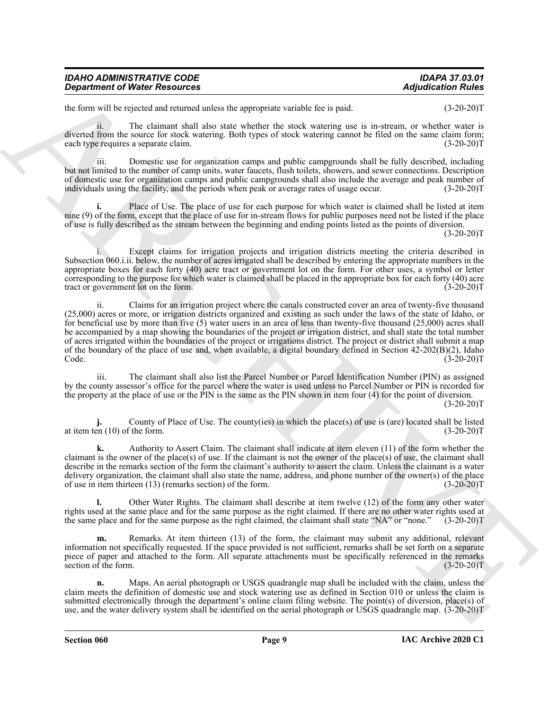| <b>IDAHO ADMINISTRATIVE CODE</b>     | <b>IDAPA 37.03.01</b>     |
|--------------------------------------|---------------------------|
| <b>Department of Water Resources</b> | <b>Adjudication Rules</b> |

the form will be rejected and returned unless the appropriate variable fee is paid.  $(3-20-20)T$ 

ii. The claimant shall also state whether the stock watering use is in-stream, or whether water is diverted from the source for stock watering. Both types of stock watering cannot be filed on the same claim form; each type requires a separate claim. (3-20-20)T

iii. Domestic use for organization camps and public campgrounds shall be fully described, including but not limited to the number of camp units, water faucets, flush toilets, showers, and sewer connections. Description of domestic use for organization camps and public campgrounds shall also include the average and peak number of individuals using the facility, and the periods when peak or average rates of usage occur. (3-20-20)T

Place of Use. The place of use for each purpose for which water is claimed shall be listed at item nine (9) of the form, except that the place of use for in-stream flows for public purposes need not be listed if the place of use is fully described as the stream between the beginning and ending points listed as the points of diversion.

 $(3-20-20)T$ 

i. Except claims for irrigation projects and irrigation districts meeting the criteria described in Subsection 060.i.ii. below, the number of acres irrigated shall be described by entering the appropriate numbers in the appropriate boxes for each forty (40) acre tract or government lot on the form. For other uses, a symbol or letter corresponding to the purpose for which water is claimed shall be placed in the appropriate box for each forty (40) acre tract or government lot on the form. (3-20-20)T

*Department of Weiler Resources*<br> **Adjusted from the state and sense to a spectra consist for yout<br>
and the state and the state and sense that the sense results for youthain the state and (3-20-20)<br>
development in the s** ii. Claims for an irrigation project where the canals constructed cover an area of twenty-five thousand (25,000) acres or more, or irrigation districts organized and existing as such under the laws of the state of Idaho, or for beneficial use by more than five (5) water users in an area of less than twenty-five thousand (25,000) acres shall be accompanied by a map showing the boundaries of the project or irrigation district, and shall state the total number of acres irrigated within the boundaries of the project or irrigations district. The project or district shall submit a map of the boundary of the place of use and, when available, a digital boundary defined in Section  $42-202(B)(2)$ , Idaho Code.  $(3-20-20)T$ Code. (3-20-20)T

iii. The claimant shall also list the Parcel Number or Parcel Identification Number (PIN) as assigned by the county assessor's office for the parcel where the water is used unless no Parcel Number or PIN is recorded for the property at the place of use or the PIN is the same as the PIN shown in item four (4) for the point of diversion.

 $(3-20-20)T$ 

County of Place of Use. The county(ies) in which the place(s) of use is (are) located shall be listed<br>f the form. (3-20-20)T at item ten  $(10)$  of the form.

**k.** Authority to Assert Claim. The claimant shall indicate at item eleven (11) of the form whether the claimant is the owner of the place(s) of use. If the claimant is not the owner of the place(s) of use, the claimant shall describe in the remarks section of the form the claimant's authority to assert the claim. Unless the claimant is a water delivery organization, the claimant shall also state the name, address, and phone number of the owner(s) of the place of use in item thirteen (13) (remarks section) of the form. (3-20-20)T

**l.** Other Water Rights. The claimant shall describe at item twelve (12) of the form any other water rights used at the same place and for the same purpose as the right claimed. If there are no other water rights used at the same place and for the same purpose as the right claimed, the claimant shall state "NA" or "none." (3-20-20)T

**m.** Remarks. At item thirteen (13) of the form, the claimant may submit any additional, relevant information not specifically requested. If the space provided is not sufficient, remarks shall be set forth on a separate piece of paper and attached to the form. All separate attachments must be specifically referenced in the remarks section of the form.  $(3-20-20)T$ 

**n.** Maps. An aerial photograph or USGS quadrangle map shall be included with the claim, unless the claim meets the definition of domestic use and stock watering use as defined in Section 010 or unless the claim is submitted electronically through the department's online claim filing website. The point(s) of diversion, place(s) of use, and the water delivery system shall be identified on the aerial photograph or USGS quadrangle map. (3-20-20)T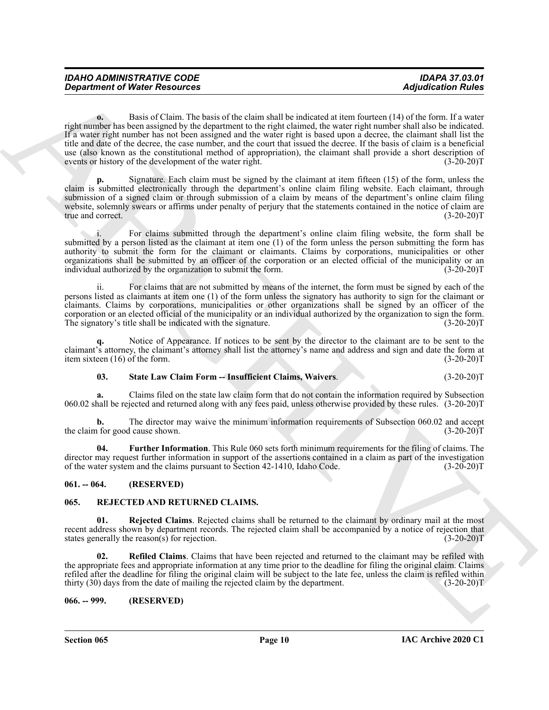| <b>IDAHO ADMINISTRATIVE CODE</b>     | <b>IDAPA 37.03.01</b>     |
|--------------------------------------|---------------------------|
| <b>Department of Water Resources</b> | <b>Adjudication Rules</b> |

*Department of Water Resources*<br> **Contain the basis of the control of the distribution of the distribution** (a)  $\theta$  and  $\theta$  and  $\theta$  and  $\theta$  and  $\theta$  and  $\theta$  and  $\theta$  and  $\theta$  and  $\theta$  and  $\theta$  and  $\theta$  and  $\theta$  and **o.** Basis of Claim. The basis of the claim shall be indicated at item fourteen (14) of the form. If a water right number has been assigned by the department to the right claimed, the water right number shall also be indicated. If a water right number has not been assigned and the water right is based upon a decree, the claimant shall list the title and date of the decree, the case number, and the court that issued the decree. If the basis of claim is a beneficial use (also known as the constitutional method of appropriation), the claimant shall provide a short description of events or history of the development of the water right. (3-20-20) events or history of the development of the water right.

**p.** Signature. Each claim must be signed by the claimant at item fifteen (15) of the form, unless the claim is submitted electronically through the department's online claim filing website. Each claimant, through submission of a signed claim or through submission of a claim by means of the department's online claim filing website, solemnly swears or affirms under penalty of perjury that the statements contained in the notice of claim are<br>(3-20-20)T true and correct.

For claims submitted through the department's online claim filing website, the form shall be submitted by a person listed as the claimant at item one (1) of the form unless the person submitting the form has authority to submit the form for the claimant or claimants. Claims by corporations, municipalities or other organizations shall be submitted by an officer of the corporation or an elected official of the municipality or an individual authorized by the organization to submit the form. (3-20-20)T

ii. For claims that are not submitted by means of the internet, the form must be signed by each of the persons listed as claimants at item one (1) of the form unless the signatory has authority to sign for the claimant or claimants. Claims by corporations, municipalities or other organizations shall be signed by an officer of the corporation or an elected official of the municipality or an individual authorized by the organization to sign the form. The signatory's title shall be indicated with the signature. (3-20-20)T

Notice of Appearance. If notices to be sent by the director to the claimant are to be sent to the claimant's attorney, the claimant's attorney shall list the attorney's name and address and sign and date the form at item sixteen (16) of the form. (3-20-20)T

#### <span id="page-9-7"></span>**03. State Law Claim Form -- Insufficient Claims, Waivers**. (3-20-20)T

**a.** Claims filed on the state law claim form that do not contain the information required by Subsection 060.02 shall be rejected and returned along with any fees paid, unless otherwise provided by these rules. (3-20-20)T

**b.** The director may waive the minimum information requirements of Subsection 060.02 and accept 1 for good cause shown. (3-20-20) the claim for good cause shown.

<span id="page-9-6"></span>**04. Further Information**. This Rule 060 sets forth minimum requirements for the filing of claims. The director may request further information in support of the assertions contained in a claim as part of the investigation of the water system and the claims pursuant to Section 42-1410, Idaho Code. (3-20-20)T

#### <span id="page-9-0"></span>**061. -- 064. (RESERVED)**

#### <span id="page-9-3"></span><span id="page-9-1"></span>**065. REJECTED AND RETURNED CLAIMS.**

<span id="page-9-5"></span>**01. Rejected Claims**. Rejected claims shall be returned to the claimant by ordinary mail at the most recent address shown by department records. The rejected claim shall be accompanied by a notice of rejection that states generally the reason(s) for rejection. (3-20-20)T

<span id="page-9-4"></span>**02. Refiled Claims**. Claims that have been rejected and returned to the claimant may be refiled with the appropriate fees and appropriate information at any time prior to the deadline for filing the original claim. Claims refiled after the deadline for filing the original claim will be subject to the late fee, unless the claim is refiled within thirty (30) days from the date of mailing the rejected claim by the department. (3-20-20)T

#### <span id="page-9-2"></span>**066. -- 999. (RESERVED)**

**Section 065 Page 10**